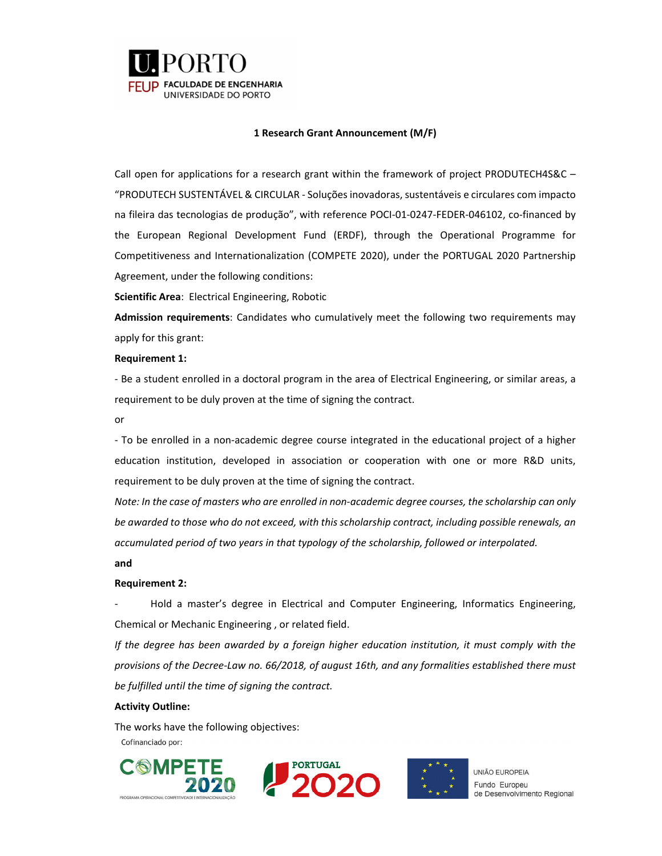

### **1 Research Grant Announcement (M/F)**

Call open for applications for a research grant within the framework of project PRODUTECH4S&C – "PRODUTECH SUSTENTÁVEL & CIRCULAR ‐ Soluçõesinovadoras,sustentáveis e circulares com impacto na fileira das tecnologias de produção", with reference POCI‐01‐0247‐FEDER‐046102, co‐financed by the European Regional Development Fund (ERDF), through the Operational Programme for Competitiveness and Internationalization (COMPETE 2020), under the PORTUGAL 2020 Partnership Agreement, under the following conditions:

**Scientific Area**: Electrical Engineering, Robotic

**Admission requirements**: Candidates who cumulatively meet the following two requirements may apply for this grant:

### **Requirement 1:**

‐ Be a student enrolled in a doctoral program in the area of Electrical Engineering, or similar areas, a requirement to be duly proven at the time of signing the contract.

or

‐ To be enrolled in a non‐academic degree course integrated in the educational project of a higher education institution, developed in association or cooperation with one or more R&D units, requirement to be duly proven at the time of signing the contract.

Note: In the case of masters who are enrolled in non-academic degree courses, the scholarship can only *be awarded to those who do not exceed, with this scholarship contract, including possible renewals, an accumulated period of two years in that typology of the scholarship, followed or interpolated.*

**and**

### **Requirement 2:**

‐ Hold a master's degree in Electrical and Computer Engineering, Informatics Engineering, Chemical or Mechanic Engineering , or related field.

*If the degree has been awarded by a foreign higher education institution, it must comply with the provisions of the Decree‐Law no. 66/2018, of august 16th, and any formalities established there must be fulfilled until the time of signing the contract.* 

### **Activity Outline:**

The works have the following objectives:Cofinanciado por:







**UNIÃO FUROPEIA** Fundo Europeu de Desenvolvimento Regional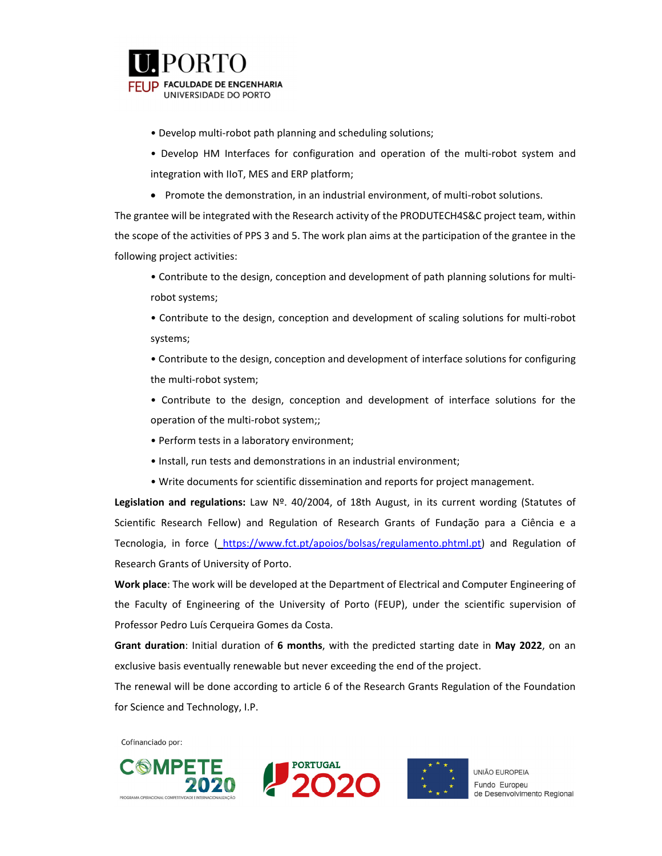

- Develop multi‐robot path planning and scheduling solutions;
- Develop HM Interfaces for configuration and operation of the multi‐robot system and integration with IIoT, MES and ERP platform;
- Promote the demonstration, in an industrial environment, of multi-robot solutions.

The grantee will be integrated with the Research activity of the PRODUTECH4S&C project team, within the scope of the activities of PPS 3 and 5. The work plan aims at the participation of the grantee in the following project activities:

- Contribute to the design, conception and development of path planning solutions for multi‐ robot systems;
- Contribute to the design, conception and development of scaling solutions for multi-robot systems;

• Contribute to the design, conception and development of interface solutions for configuring the multi‐robot system;

- Contribute to the design, conception and development of interface solutions for the operation of the multi-robot system;;
- Perform tests in a laboratory environment;
- Install, run tests and demonstrations in an industrial environment;
- Write documents for scientific dissemination and reports for project management.

**Legislation and regulations:** Law Nº. 40/2004, of 18th August, in its current wording (Statutes of Scientific Research Fellow) and Regulation of Research Grants of Fundação para a Ciência e a Tecnologia, in force ( https://www.fct.pt/apoios/bolsas/regulamento.phtml.pt) and Regulation of Research Grants of University of Porto.

**Work place**: The work will be developed at the Department of Electrical and Computer Engineering of the Faculty of Engineering of the University of Porto (FEUP), under the scientific supervision of Professor Pedro Luís Cerqueira Gomes da Costa.

**Grant duration**: Initial duration of **6 months**, with the predicted starting date in **May 2022**, on an exclusive basis eventually renewable but never exceeding the end of the project.

The renewal will be done according to article 6 of the Research Grants Regulation of the Foundation for Science and Technology, I.P.

Cofinanciado por:





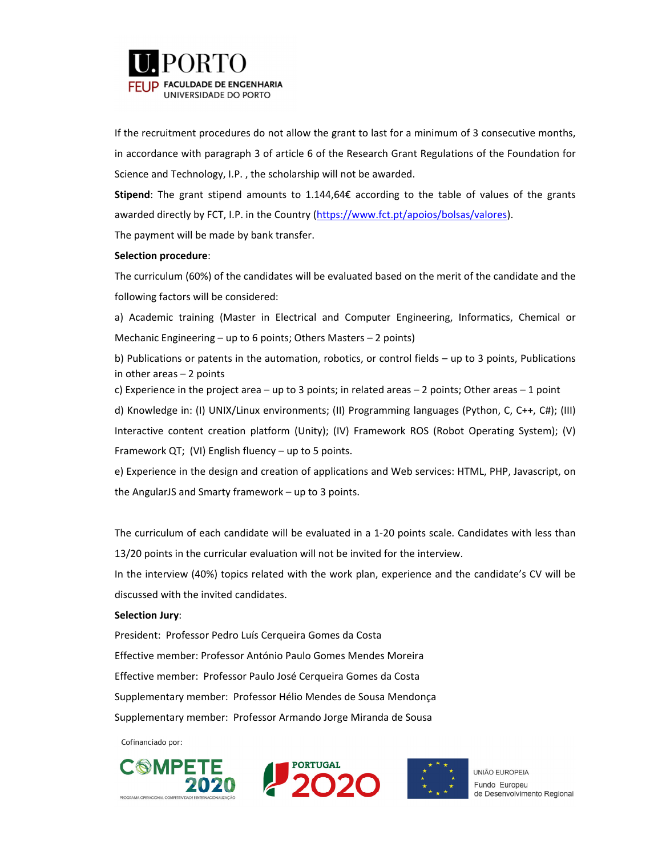

If the recruitment procedures do not allow the grant to last for a minimum of 3 consecutive months, in accordance with paragraph 3 of article 6 of the Research Grant Regulations of the Foundation for Science and Technology, I.P. , the scholarship will not be awarded.

**Stipend**: The grant stipend amounts to 1.144,64€ according to the table of values of the grants awarded directly by FCT, I.P. in the Country (https://www.fct.pt/apoios/bolsas/valores).

The payment will be made by bank transfer.

### **Selection procedure**:

The curriculum (60%) of the candidates will be evaluated based on the merit of the candidate and the following factors will be considered:

a) Academic training (Master in Electrical and Computer Engineering, Informatics, Chemical or Mechanic Engineering – up to 6 points; Others Masters – 2 points)

b) Publications or patents in the automation, robotics, or control fields – up to 3 points, Publications in other areas – 2 points

c) Experience in the project area – up to 3 points; in related areas – 2 points; Other areas – 1 point

d) Knowledge in: (I) UNIX/Linux environments; (II) Programming languages (Python, C, C++, C#); (III) Interactive content creation platform (Unity); (IV) Framework ROS (Robot Operating System); (V) Framework QT; (VI) English fluency – up to 5 points.

e) Experience in the design and creation of applications and Web services: HTML, PHP, Javascript, on the AngularJS and Smarty framework – up to 3 points.

The curriculum of each candidate will be evaluated in a 1‐20 points scale. Candidates with less than 13/20 points in the curricular evaluation will not be invited for the interview.

In the interview (40%) topics related with the work plan, experience and the candidate's CV will be discussed with the invited candidates.

### **Selection Jury**:

President: Professor Pedro Luís Cerqueira Gomes da Costa Effective member: Professor António Paulo Gomes Mendes Moreira Effective member: Professor Paulo José Cerqueira Gomes da Costa Supplementary member: Professor Hélio Mendes de Sousa Mendonça Supplementary member: Professor Armando Jorge Miranda de Sousa

Cofinanciado por:







**UNIÃO FUROPEIA** Fundo Europeu de Desenvolvimento Regional